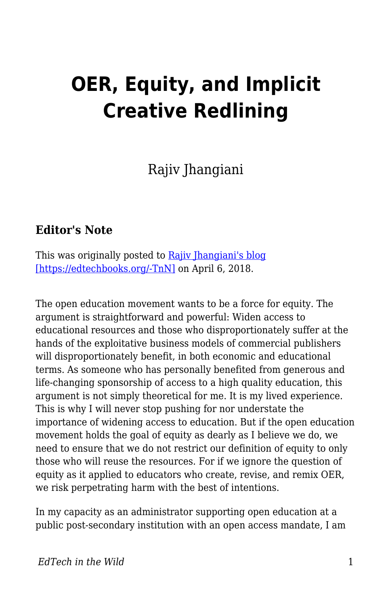## **OER, Equity, and Implicit Creative Redlining**

Rajiv Jhangiani

## **Editor's Note**

This was originally posted to Rajiv Ihangiani's blog [\[https://edtechbooks.org/-TnN\]](http://thatpsychprof.com/oer-equity-and-implicit-creative-redlining/) on April 6, 2018.

The open education movement wants to be a force for equity. The argument is straightforward and powerful: Widen access to educational resources and those who disproportionately suffer at the hands of the exploitative business models of commercial publishers will disproportionately benefit, in both economic and educational terms. As someone who has personally benefited from generous and life-changing sponsorship of access to a high quality education, this argument is not simply theoretical for me. It is my lived experience. This is why I will never stop pushing for nor understate the importance of widening access to education. But if the open education movement holds the goal of equity as dearly as I believe we do, we need to ensure that we do not restrict our definition of equity to only those who will reuse the resources. For if we ignore the question of equity as it applied to educators who create, revise, and remix OER, we risk perpetrating harm with the best of intentions.

In my capacity as an administrator supporting open education at a public post-secondary institution with an open access mandate, I am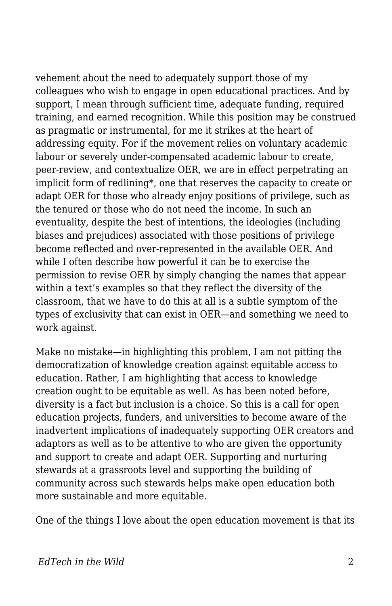vehement about the need to adequately support those of my colleagues who wish to engage in open educational practices. And by support, I mean through sufficient time, adequate funding, required training, and earned recognition. While this position may be construed as pragmatic or instrumental, for me it strikes at the heart of addressing equity. For if the movement relies on voluntary academic labour or severely under-compensated academic labour to create, peer-review, and contextualize OER, we are in effect perpetrating an implicit form of redlining\*, one that reserves the capacity to create or adapt OER for those who already enjoy positions of privilege, such as the tenured or those who do not need the income. In such an eventuality, despite the best of intentions, the ideologies (including biases and prejudices) associated with those positions of privilege become reflected and over-represented in the available OER. And while I often describe how powerful it can be to exercise the permission to revise OER by simply changing the names that appear within a text's examples so that they reflect the diversity of the classroom, that we have to do this at all is a subtle symptom of the types of exclusivity that can exist in OER—and something we need to work against.

Make no mistake—in highlighting this problem, I am not pitting the democratization of knowledge creation against equitable access to education. Rather, I am highlighting that access to knowledge creation ought to be equitable as well. As has been noted before, diversity is a fact but inclusion is a choice. So this is a call for open education projects, funders, and universities to become aware of the inadvertent implications of inadequately supporting OER creators and adaptors as well as to be attentive to who are given the opportunity and support to create and adapt OER. Supporting and nurturing stewards at a grassroots level and supporting the building of community across such stewards helps make open education both more sustainable and more equitable.

One of the things I love about the open education movement is that its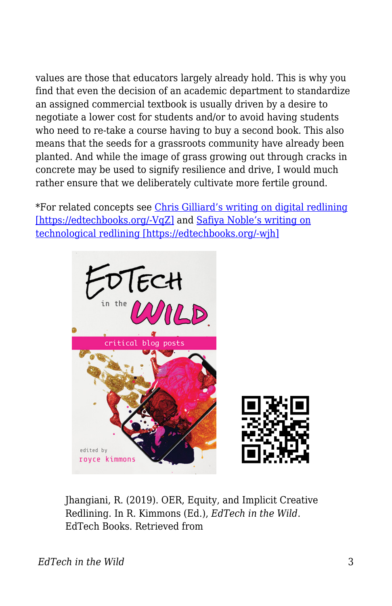values are those that educators largely already hold. This is why you find that even the decision of an academic department to standardize an assigned commercial textbook is usually driven by a desire to negotiate a lower cost for students and/or to avoid having students who need to re-take a course having to buy a second book. This also means that the seeds for a grassroots community have already been planted. And while the image of grass growing out through cracks in concrete may be used to signify resilience and drive, I would much rather ensure that we deliberately cultivate more fertile ground.

\*For related concepts see [Chris Gilliard's writing on digital redlining](https://www.commonsense.org/education/privacy/blog/digital-redlining-access-privacy) [\[https://edtechbooks.org/-VqZ\]](https://www.commonsense.org/education/privacy/blog/digital-redlining-access-privacy) and [Safiya Noble's writing on](https://nyupress.org/books/9781479837243/) [technological redlining \[https://edtechbooks.org/-wjh\]](https://nyupress.org/books/9781479837243/)



Jhangiani, R. (2019). OER, Equity, and Implicit Creative Redlining. In R. Kimmons (Ed.), *EdTech in the Wild*. EdTech Books. Retrieved from